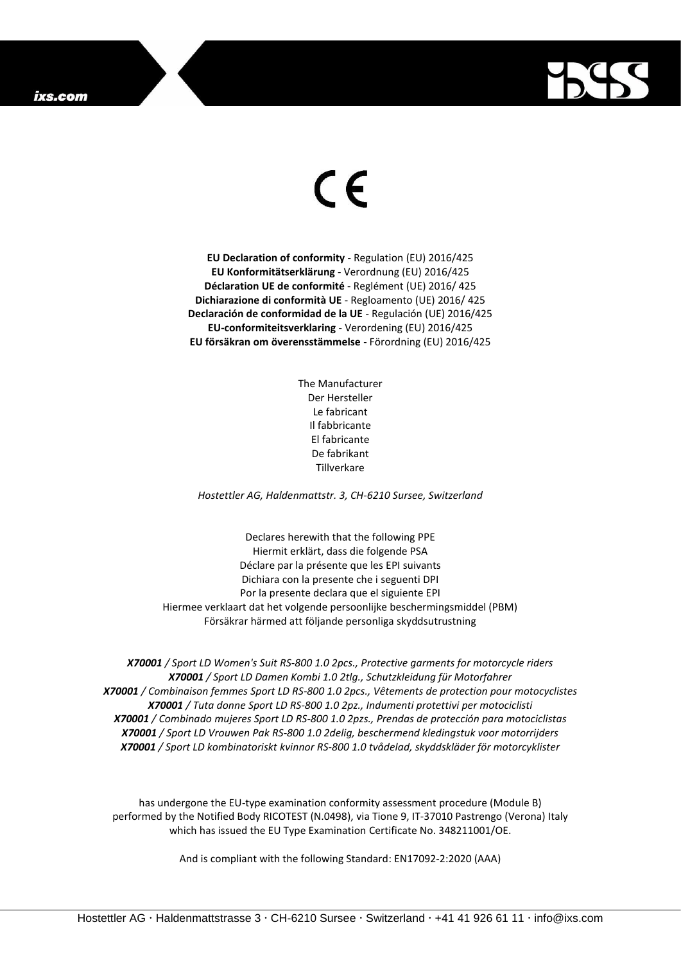## ixs.com



## $\epsilon$

**EU Declaration of conformity** - Regulation (EU) 2016/425 **EU Konformitätserklärung** - Verordnung (EU) 2016/425 **Déclaration UE de conformité** - Reglément (UE) 2016/ 425 **Dichiarazione di conformità UE** - Regloamento (UE) 2016/ 425 **Declaración de conformidad de la UE** - Regulación (UE) 2016/425 **EU-conformiteitsverklaring** - Verordening (EU) 2016/425 **EU försäkran om överensstämmelse** - Förordning (EU) 2016/425

> The Manufacturer Der Hersteller Le fabricant Il fabbricante El fabricante De fabrikant Tillverkare

*Hostettler AG, Haldenmattstr. 3, CH-6210 Sursee, Switzerland*

Declares herewith that the following PPE Hiermit erklärt, dass die folgende PSA Déclare par la présente que les EPI suivants Dichiara con la presente che i seguenti DPI Por la presente declara que el siguiente EPI Hiermee verklaart dat het volgende persoonlijke beschermingsmiddel (PBM) Försäkrar härmed att följande personliga skyddsutrustning

*X70001 / Sport LD Women's Suit RS-800 1.0 2pcs., Protective garments for motorcycle riders X70001 / Sport LD Damen Kombi 1.0 2tlg., Schutzkleidung für Motorfahrer X70001 / Combinaison femmes Sport LD RS-800 1.0 2pcs., Vêtements de protection pour motocyclistes X70001 / Tuta donne Sport LD RS-800 1.0 2pz., Indumenti protettivi per motociclisti X70001 / Combinado mujeres Sport LD RS-800 1.0 2pzs., Prendas de protección para motociclistas X70001 / Sport LD Vrouwen Pak RS-800 1.0 2delig, beschermend kledingstuk voor motorrijders X70001 / Sport LD kombinatoriskt kvinnor RS-800 1.0 tvådelad, skyddskläder för motorcyklister*

has undergone the EU-type examination conformity assessment procedure (Module B) performed by the Notified Body RICOTEST (N.0498), via Tione 9, IT-37010 Pastrengo (Verona) Italy which has issued the EU Type Examination Certificate No. 348211001/OE.

And is compliant with the following Standard: EN17092-2:2020 (AAA)